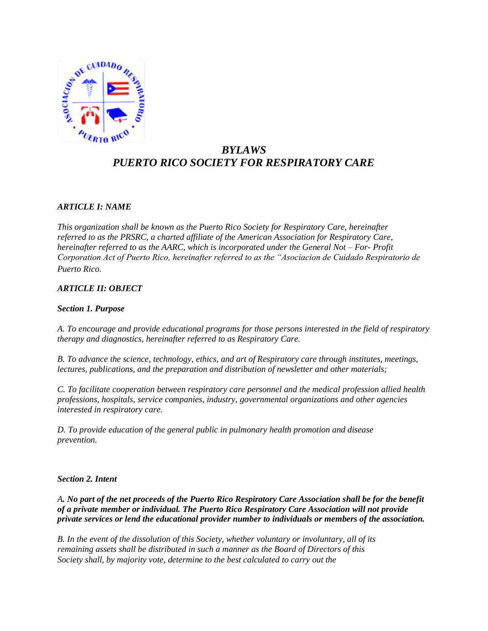

# *BYLAWS PUERTO RICO SOCIETY FOR RESPIRATORY CARE*

## *ARTICLE I: NAME*

*This organization shall be known as the Puerto Rico Society for Respiratory Care, hereinafter referred to as the PRSRC, a charted affiliate of the American Association for Respiratory Care, hereinafter referred to as the AARC, which is incorporated under the General Not – For- Profit Corporation Act of Puerto Rico, hereinafter referred to as the "Asociacion de Cuidado Respiratorio de Puerto Rico.*

### *ARTICLE II: OBJECT*

#### *Section 1. Purpose*

*A. To encourage and provide educational programs for those persons interested in the field of respiratory therapy and diagnostics, hereinafter referred to as Respiratory Care.*

*B. To advance the science, technology, ethics, and art of Respiratory care through institutes, meetings, lectures, publications, and the preparation and distribution of newsletter and other materials;*

*C. To facilitate cooperation between respiratory care personnel and the medical profession allied health professions, hospitals, service companies, industry, governmental organizations and other agencies interested in respiratory care.*

*D. To provide education of the general public in pulmonary health promotion and disease prevention.*

#### *Section 2. Intent*

*A. No part of the net proceeds of the Puerto Rico Respiratory Care Association shall be for the benefit of a private member or individual. The Puerto Rico Respiratory Care Association will not provide private services or lend the educational provider number to individuals or members of the association.*

*B. In the event of the dissolution of this Society, whether voluntary or involuntary, all of its remaining assets shall be distributed in such a manner as the Board of Directors of this Society shall, by majority vote, determine to the best calculated to carry out the*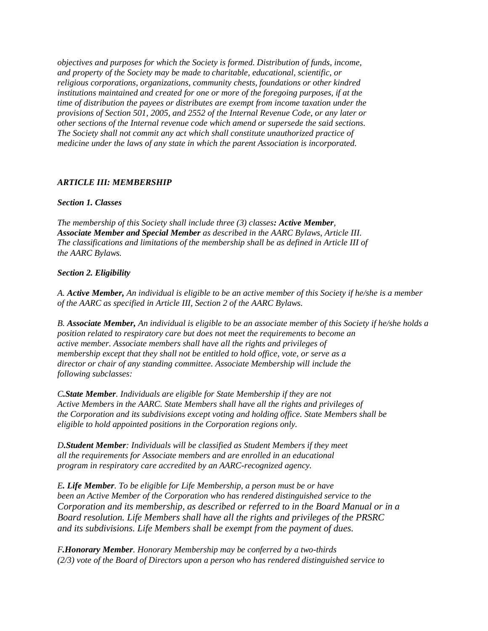*objectives and purposes for which the Society is formed. Distribution of funds, income, and property of the Society may be made to charitable, educational, scientific, or religious corporations, organizations, community chests, foundations or other kindred institutions maintained and created for one or more of the foregoing purposes, if at the time of distribution the payees or distributes are exempt from income taxation under the provisions of Section 501, 2005, and 2552 of the Internal Revenue Code, or any later or other sections of the Internal revenue code which amend or supersede the said sections. The Society shall not commit any act which shall constitute unauthorized practice of medicine under the laws of any state in which the parent Association is incorporated.*

### *ARTICLE III: MEMBERSHIP*

#### *Section 1. Classes*

*The membership of this Society shall include three (3) classes: Active Member, Associate Member and Special Member as described in the AARC Bylaws, Article III. The classifications and limitations of the membership shall be as defined in Article III of the AARC Bylaws.*

### *Section 2. Eligibility*

*A. Active Member, An individual is eligible to be an active member of this Society if he/she is a member of the AARC as specified in Article III, Section 2 of the AARC Bylaws.*

*B. Associate Member, An individual is eligible to be an associate member of this Society if he/she holds a position related to respiratory care but does not meet the requirements to become an active member. Associate members shall have all the rights and privileges of membership except that they shall not be entitled to hold office, vote, or serve as a director or chair of any standing committee. Associate Membership will include the following subclasses:*

*C.State Member. Individuals are eligible for State Membership if they are not Active Members in the AARC. State Members shall have all the rights and privileges of the Corporation and its subdivisions except voting and holding office. State Members shall be eligible to hold appointed positions in the Corporation regions only.*

*D.Student Member: Individuals will be classified as Student Members if they meet all the requirements for Associate members and are enrolled in an educational program in respiratory care accredited by an AARC-recognized agency.*

*E. Life Member. To be eligible for Life Membership, a person must be or have been an Active Member of the Corporation who has rendered distinguished service to the Corporation and its membership, as described or referred to in the Board Manual or in a Board resolution. Life Members shall have all the rights and privileges of the PRSRC and its subdivisions. Life Members shall be exempt from the payment of dues.*

*F.Honorary Member. Honorary Membership may be conferred by a two-thirds (2/3) vote of the Board of Directors upon a person who has rendered distinguished service to*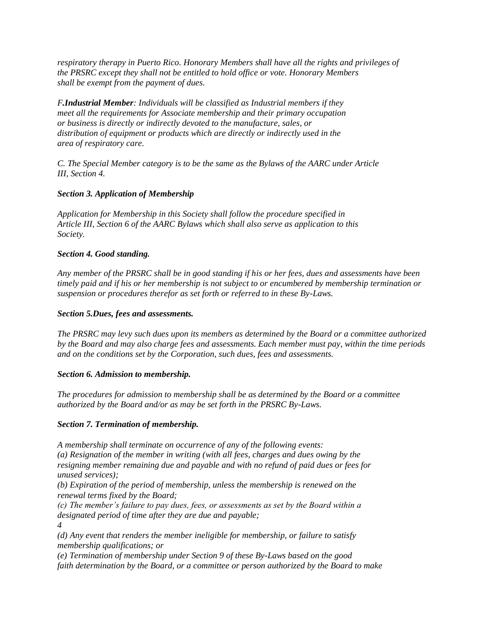*respiratory therapy in Puerto Rico. Honorary Members shall have all the rights and privileges of the PRSRC except they shall not be entitled to hold office or vote. Honorary Members shall be exempt from the payment of dues.* 

*F.Industrial Member: Individuals will be classified as Industrial members if they meet all the requirements for Associate membership and their primary occupation or business is directly or indirectly devoted to the manufacture, sales, or distribution of equipment or products which are directly or indirectly used in the area of respiratory care.*

*C. The Special Member category is to be the same as the Bylaws of the AARC under Article III, Section 4.*

### *Section 3. Application of Membership*

*Application for Membership in this Society shall follow the procedure specified in Article III, Section 6 of the AARC Bylaws which shall also serve as application to this Society.*

#### *Section 4. Good standing.*

*Any member of the PRSRC shall be in good standing if his or her fees, dues and assessments have been timely paid and if his or her membership is not subject to or encumbered by membership termination or suspension or procedures therefor as set forth or referred to in these By-Laws.*

#### *Section 5.Dues, fees and assessments.*

*The PRSRC may levy such dues upon its members as determined by the Board or a committee authorized by the Board and may also charge fees and assessments. Each member must pay, within the time periods and on the conditions set by the Corporation, such dues, fees and assessments.* 

#### *Section 6. Admission to membership.*

*The procedures for admission to membership shall be as determined by the Board or a committee authorized by the Board and/or as may be set forth in the PRSRC By-Laws.*

### *Section 7. Termination of membership.*

*A membership shall terminate on occurrence of any of the following events:*

*(a) Resignation of the member in writing (with all fees, charges and dues owing by the resigning member remaining due and payable and with no refund of paid dues or fees for unused services);*

*(b) Expiration of the period of membership, unless the membership is renewed on the renewal terms fixed by the Board;*

*(c) The member's failure to pay dues, fees, or assessments as set by the Board within a designated period of time after they are due and payable; 4*

*(d) Any event that renders the member ineligible for membership, or failure to satisfy membership qualifications; or*

*(e) Termination of membership under Section 9 of these By-Laws based on the good faith determination by the Board, or a committee or person authorized by the Board to make*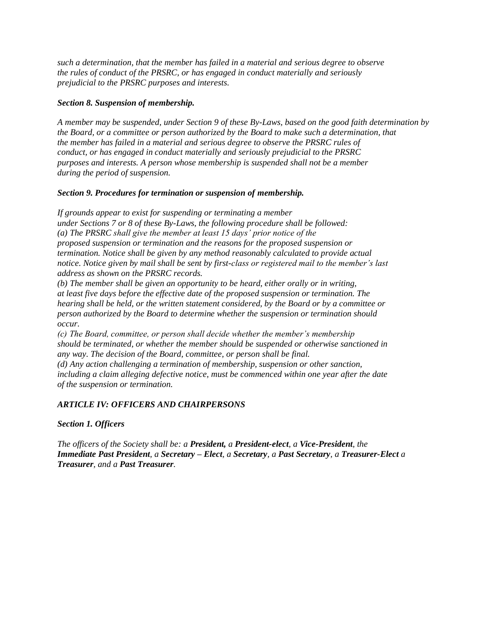*such a determination, that the member has failed in a material and serious degree to observe the rules of conduct of the PRSRC, or has engaged in conduct materially and seriously prejudicial to the PRSRC purposes and interests.*

## *Section 8. Suspension of membership.*

*A member may be suspended, under Section 9 of these By-Laws, based on the good faith determination by the Board, or a committee or person authorized by the Board to make such a determination, that the member has failed in a material and serious degree to observe the PRSRC rules of conduct, or has engaged in conduct materially and seriously prejudicial to the PRSRC purposes and interests. A person whose membership is suspended shall not be a member during the period of suspension.* 

### *Section 9. Procedures for termination or suspension of membership.*

*If grounds appear to exist for suspending or terminating a member under Sections 7 or 8 of these By-Laws, the following procedure shall be followed: (a) The PRSRC shall give the member at least 15 days' prior notice of the proposed suspension or termination and the reasons for the proposed suspension or termination. Notice shall be given by any method reasonably calculated to provide actual notice. Notice given by mail shall be sent by first-class or registered mail to the member's last address as shown on the PRSRC records.*

*(b) The member shall be given an opportunity to be heard, either orally or in writing, at least five days before the effective date of the proposed suspension or termination. The hearing shall be held, or the written statement considered, by the Board or by a committee or person authorized by the Board to determine whether the suspension or termination should occur.*

*(c) The Board, committee, or person shall decide whether the member's membership should be terminated, or whether the member should be suspended or otherwise sanctioned in any way. The decision of the Board, committee, or person shall be final.*

*(d) Any action challenging a termination of membership, suspension or other sanction, including a claim alleging defective notice, must be commenced within one year after the date of the suspension or termination.* 

# *ARTICLE IV: OFFICERS AND CHAIRPERSONS*

### *Section 1. Officers*

*The officers of the Society shall be: a President, a President-elect, a Vice-President, the Immediate Past President, a Secretary – Elect, a Secretary, a Past Secretary, a Treasurer-Elect a Treasurer, and a Past Treasurer.*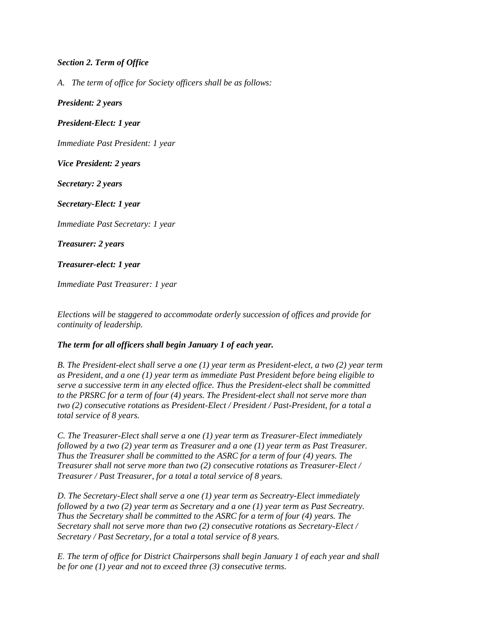### *Section 2. Term of Office*

*A. The term of office for Society officers shall be as follows:*

*President: 2 years*

*President-Elect: 1 year*

*Immediate Past President: 1 year*

*Vice President: 2 years*

*Secretary: 2 years*

*Secretary-Elect: 1 year*

*Immediate Past Secretary: 1 year*

*Treasurer: 2 years*

*Treasurer-elect: 1 year*

*Immediate Past Treasurer: 1 year*

*Elections will be staggered to accommodate orderly succession of offices and provide for continuity of leadership.*

# *The term for all officers shall begin January 1 of each year.*

*B. The President-elect shall serve a one (1) year term as President-elect, a two (2) year term as President, and a one (1) year term as immediate Past President before being eligible to serve a successive term in any elected office. Thus the President-elect shall be committed to the PRSRC for a term of four (4) years. The President-elect shall not serve more than two (2) consecutive rotations as President-Elect / President / Past-President, for a total a total service of 8 years.*

*C. The Treasurer-Elect shall serve a one (1) year term as Treasurer-Elect immediately followed by a two (2) year term as Treasurer and a one (1) year term as Past Treasurer. Thus the Treasurer shall be committed to the ASRC for a term of four (4) years. The Treasurer shall not serve more than two (2) consecutive rotations as Treasurer-Elect / Treasurer / Past Treasurer, for a total a total service of 8 years.*

*D. The Secretary-Elect shall serve a one (1) year term as Secreatry-Elect immediately followed by a two (2) year term as Secretary and a one (1) year term as Past Secreatry. Thus the Secretary shall be committed to the ASRC for a term of four (4) years. The Secretary shall not serve more than two (2) consecutive rotations as Secretary-Elect / Secretary / Past Secretary, for a total a total service of 8 years.*

*E. The term of office for District Chairpersons shall begin January 1 of each year and shall be for one (1) year and not to exceed three (3) consecutive terms.*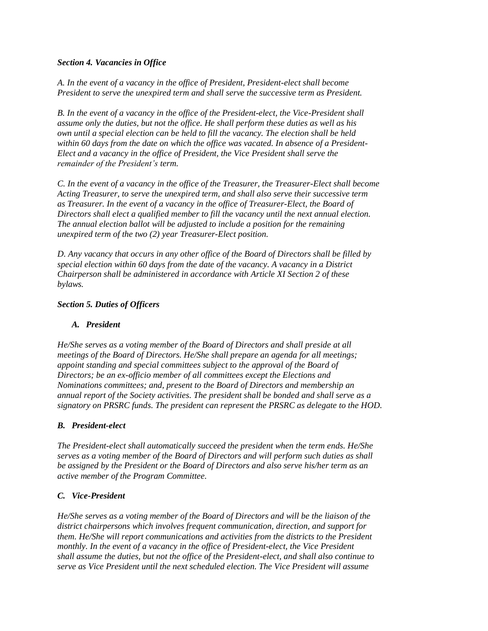## *Section 4. Vacancies in Office*

*A. In the event of a vacancy in the office of President, President-elect shall become President to serve the unexpired term and shall serve the successive term as President.*

*B. In the event of a vacancy in the office of the President-elect, the Vice-President shall assume only the duties, but not the office. He shall perform these duties as well as his own until a special election can be held to fill the vacancy. The election shall be held within 60 days from the date on which the office was vacated. In absence of a President-Elect and a vacancy in the office of President, the Vice President shall serve the remainder of the President's term.*

*C. In the event of a vacancy in the office of the Treasurer, the Treasurer-Elect shall become Acting Treasurer, to serve the unexpired term, and shall also serve their successive term as Treasurer. In the event of a vacancy in the office of Treasurer-Elect, the Board of Directors shall elect a qualified member to fill the vacancy until the next annual election. The annual election ballot will be adjusted to include a position for the remaining unexpired term of the two (2) year Treasurer-Elect position.*

*D. Any vacancy that occurs in any other office of the Board of Directors shall be filled by special election within 60 days from the date of the vacancy. A vacancy in a District Chairperson shall be administered in accordance with Article XI Section 2 of these bylaws.*

## *Section 5. Duties of Officers*

# *A. President*

*He/She serves as a voting member of the Board of Directors and shall preside at all meetings of the Board of Directors. He/She shall prepare an agenda for all meetings; appoint standing and special committees subject to the approval of the Board of Directors; be an ex-officio member of all committees except the Elections and Nominations committees; and, present to the Board of Directors and membership an annual report of the Society activities. The president shall be bonded and shall serve as a signatory on PRSRC funds. The president can represent the PRSRC as delegate to the HOD.*

### *B. President-elect*

*The President-elect shall automatically succeed the president when the term ends. He/She serves as a voting member of the Board of Directors and will perform such duties as shall be assigned by the President or the Board of Directors and also serve his/her term as an active member of the Program Committee.*

### *C. Vice-President*

*He/She serves as a voting member of the Board of Directors and will be the liaison of the district chairpersons which involves frequent communication, direction, and support for them. He/She will report communications and activities from the districts to the President monthly. In the event of a vacancy in the office of President-elect, the Vice President shall assume the duties, but not the office of the President-elect, and shall also continue to serve as Vice President until the next scheduled election. The Vice President will assume*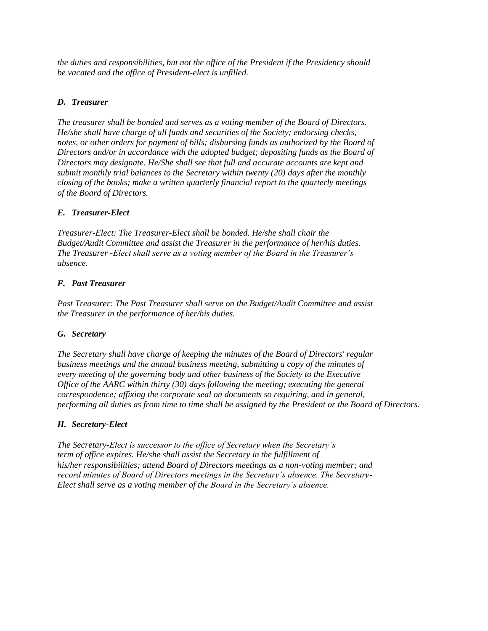*the duties and responsibilities, but not the office of the President if the Presidency should be vacated and the office of President-elect is unfilled.*

## *D. Treasurer*

*The treasurer shall be bonded and serves as a voting member of the Board of Directors. He/she shall have charge of all funds and securities of the Society; endorsing checks, notes, or other orders for payment of bills; disbursing funds as authorized by the Board of Directors and/or in accordance with the adopted budget; depositing funds as the Board of Directors may designate. He/She shall see that full and accurate accounts are kept and submit monthly trial balances to the Secretary within twenty (20) days after the monthly closing of the books; make a written quarterly financial report to the quarterly meetings of the Board of Directors.*

## *E. Treasurer-Elect*

*Treasurer-Elect: The Treasurer-Elect shall be bonded. He/she shall chair the Budget/Audit Committee and assist the Treasurer in the performance of her/his duties. The Treasurer -Elect shall serve as a voting member of the Board in the Treasurer's absence.*

## *F. Past Treasurer*

*Past Treasurer: The Past Treasurer shall serve on the Budget/Audit Committee and assist the Treasurer in the performance of her/his duties.*

### *G. Secretary*

*The Secretary shall have charge of keeping the minutes of the Board of Directors' regular business meetings and the annual business meeting, submitting a copy of the minutes of every meeting of the governing body and other business of the Society to the Executive Office of the AARC within thirty (30) days following the meeting; executing the general correspondence; affixing the corporate seal on documents so requiring, and in general, performing all duties as from time to time shall be assigned by the President or the Board of Directors.*

### *H. Secretary-Elect*

*The Secretary-Elect is successor to the office of Secretary when the Secretary's term of office expires. He/she shall assist the Secretary in the fulfillment of his/her responsibilities; attend Board of Directors meetings as a non-voting member; and record minutes of Board of Directors meetings in the Secretary's absence. The Secretary-Elect shall serve as a voting member of the Board in the Secretary's absence.*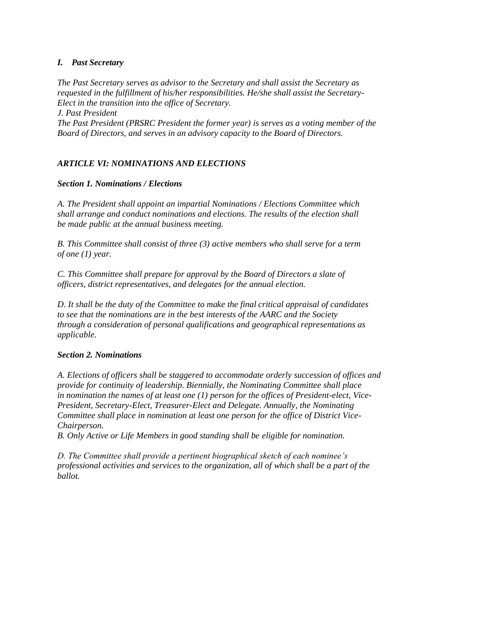## *I. Past Secretary*

*The Past Secretary serves as advisor to the Secretary and shall assist the Secretary as requested in the fulfillment of his/her responsibilities. He/she shall assist the Secretary-Elect in the transition into the office of Secretary. J. Past President*

*The Past President (PRSRC President the former year) is serves as a voting member of the Board of Directors, and serves in an advisory capacity to the Board of Directors.*

# *ARTICLE VI: NOMINATIONS AND ELECTIONS*

### *Section 1. Nominations / Elections*

*A. The President shall appoint an impartial Nominations / Elections Committee which shall arrange and conduct nominations and elections. The results of the election shall be made public at the annual business meeting.*

*B. This Committee shall consist of three (3) active members who shall serve for a term of one (1) year.*

*C. This Committee shall prepare for approval by the Board of Directors a slate of officers, district representatives, and delegates for the annual election.*

*D. It shall be the duty of the Committee to make the final critical appraisal of candidates to see that the nominations are in the best interests of the AARC and the Society through a consideration of personal qualifications and geographical representations as applicable.*

### *Section 2. Nominations*

*A. Elections of officers shall be staggered to accommodate orderly succession of offices and provide for continuity of leadership. Biennially, the Nominating Committee shall place in nomination the names of at least one (1) person for the offices of President-elect, Vice-President, Secretary-Elect, Treasurer-Elect and Delegate. Annually, the Nominating Committee shall place in nomination at least one person for the office of District Vice-Chairperson.*

*B. Only Active or Life Members in good standing shall be eligible for nomination.*

*D. The Committee shall provide a pertinent biographical sketch of each nominee's professional activities and services to the organization, all of which shall be a part of the ballot.*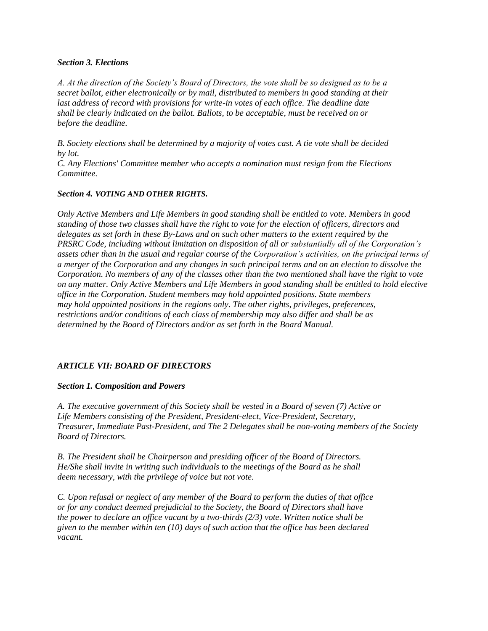#### *Section 3. Elections*

*A. At the direction of the Society's Board of Directors, the vote shall be so designed as to be a secret ballot, either electronically or by mail, distributed to members in good standing at their last address of record with provisions for write-in votes of each office. The deadline date shall be clearly indicated on the ballot. Ballots, to be acceptable, must be received on or before the deadline.*

*B. Society elections shall be determined by a majority of votes cast. A tie vote shall be decided by lot.*

*C. Any Elections' Committee member who accepts a nomination must resign from the Elections Committee.*

#### *Section 4. VOTING AND OTHER RIGHTS.*

*Only Active Members and Life Members in good standing shall be entitled to vote. Members in good standing of those two classes shall have the right to vote for the election of officers, directors and delegates as set forth in these By-Laws and on such other matters to the extent required by the PRSRC Code, including without limitation on disposition of all or substantially all of the Corporation's assets other than in the usual and regular course of the Corporation's activities, on the principal terms of a merger of the Corporation and any changes in such principal terms and on an election to dissolve the Corporation. No members of any of the classes other than the two mentioned shall have the right to vote on any matter. Only Active Members and Life Members in good standing shall be entitled to hold elective office in the Corporation. Student members may hold appointed positions. State members may hold appointed positions in the regions only. The other rights, privileges, preferences, restrictions and/or conditions of each class of membership may also differ and shall be as determined by the Board of Directors and/or as set forth in the Board Manual.* 

# *ARTICLE VII: BOARD OF DIRECTORS*

### *Section 1. Composition and Powers*

*A. The executive government of this Society shall be vested in a Board of seven (7) Active or Life Members consisting of the President, President-elect, Vice-President, Secretary, Treasurer, Immediate Past-President, and The 2 Delegates shall be non-voting members of the Society Board of Directors.*

*B. The President shall be Chairperson and presiding officer of the Board of Directors. He/She shall invite in writing such individuals to the meetings of the Board as he shall deem necessary, with the privilege of voice but not vote.*

*C. Upon refusal or neglect of any member of the Board to perform the duties of that office or for any conduct deemed prejudicial to the Society, the Board of Directors shall have the power to declare an office vacant by a two-thirds (2/3) vote. Written notice shall be given to the member within ten (10) days of such action that the office has been declared vacant.*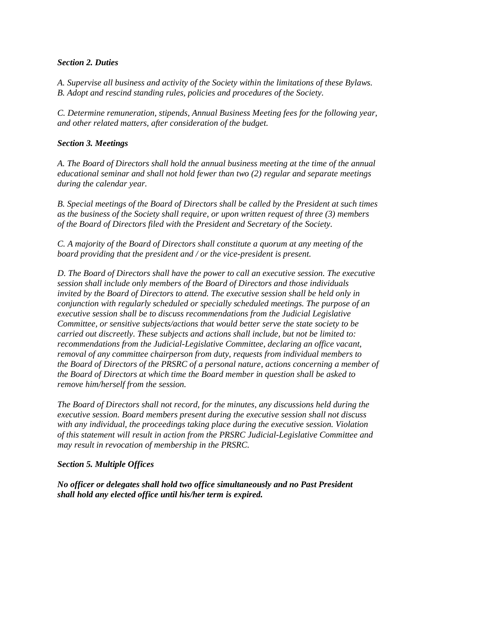#### *Section 2. Duties*

*A. Supervise all business and activity of the Society within the limitations of these Bylaws. B. Adopt and rescind standing rules, policies and procedures of the Society.*

*C. Determine remuneration, stipends, Annual Business Meeting fees for the following year, and other related matters, after consideration of the budget.*

#### *Section 3. Meetings*

*A. The Board of Directors shall hold the annual business meeting at the time of the annual educational seminar and shall not hold fewer than two (2) regular and separate meetings during the calendar year.*

*B. Special meetings of the Board of Directors shall be called by the President at such times as the business of the Society shall require, or upon written request of three (3) members of the Board of Directors filed with the President and Secretary of the Society.*

*C. A majority of the Board of Directors shall constitute a quorum at any meeting of the board providing that the president and / or the vice-president is present.*

*D. The Board of Directors shall have the power to call an executive session. The executive session shall include only members of the Board of Directors and those individuals invited by the Board of Directors to attend. The executive session shall be held only in conjunction with regularly scheduled or specially scheduled meetings. The purpose of an executive session shall be to discuss recommendations from the Judicial Legislative Committee, or sensitive subjects/actions that would better serve the state society to be carried out discreetly. These subjects and actions shall include, but not be limited to: recommendations from the Judicial-Legislative Committee, declaring an office vacant, removal of any committee chairperson from duty, requests from individual members to the Board of Directors of the PRSRC of a personal nature, actions concerning a member of the Board of Directors at which time the Board member in question shall be asked to remove him/herself from the session.*

*The Board of Directors shall not record, for the minutes, any discussions held during the executive session. Board members present during the executive session shall not discuss with any individual, the proceedings taking place during the executive session. Violation of this statement will result in action from the PRSRC Judicial-Legislative Committee and may result in revocation of membership in the PRSRC.*

### *Section 5. Multiple Offices*

*No officer or delegates shall hold two office simultaneously and no Past President shall hold any elected office until his/her term is expired.*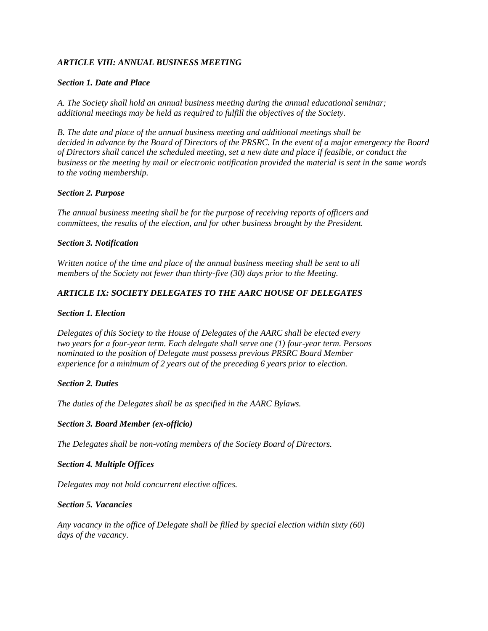### *ARTICLE VIII: ANNUAL BUSINESS MEETING*

#### *Section 1. Date and Place*

*A. The Society shall hold an annual business meeting during the annual educational seminar; additional meetings may be held as required to fulfill the objectives of the Society.*

*B. The date and place of the annual business meeting and additional meetings shall be decided in advance by the Board of Directors of the PRSRC. In the event of a major emergency the Board of Directors shall cancel the scheduled meeting, set a new date and place if feasible, or conduct the business or the meeting by mail or electronic notification provided the material is sent in the same words to the voting membership.*

### *Section 2. Purpose*

*The annual business meeting shall be for the purpose of receiving reports of officers and committees, the results of the election, and for other business brought by the President.*

### *Section 3. Notification*

*Written notice of the time and place of the annual business meeting shall be sent to all members of the Society not fewer than thirty-five (30) days prior to the Meeting.*

## *ARTICLE IX: SOCIETY DELEGATES TO THE AARC HOUSE OF DELEGATES*

#### *Section 1. Election*

*Delegates of this Society to the House of Delegates of the AARC shall be elected every two years for a four-year term. Each delegate shall serve one (1) four-year term. Persons nominated to the position of Delegate must possess previous PRSRC Board Member experience for a minimum of 2 years out of the preceding 6 years prior to election.*

### *Section 2. Duties*

*The duties of the Delegates shall be as specified in the AARC Bylaws.*

### *Section 3. Board Member (ex-officio)*

*The Delegates shall be non-voting members of the Society Board of Directors.*

### *Section 4. Multiple Offices*

*Delegates may not hold concurrent elective offices.*

### *Section 5. Vacancies*

*Any vacancy in the office of Delegate shall be filled by special election within sixty (60) days of the vacancy.*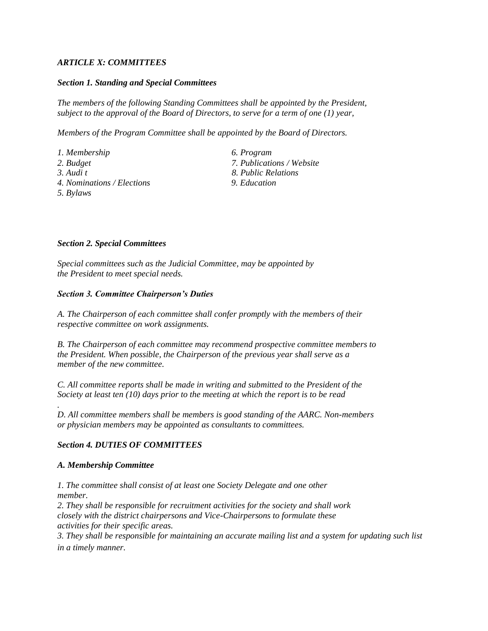## *ARTICLE X: COMMITTEES*

#### *Section 1. Standing and Special Committees*

*The members of the following Standing Committees shall be appointed by the President, subject to the approval of the Board of Directors, to serve for a term of one (1) year,*

*Members of the Program Committee shall be appointed by the Board of Directors.*

*1. Membership 6. Program 2. Budget 7. Publications / Website 3. Audi t 8. Public Relations 4. Nominations / Elections 9. Education 5. Bylaws* 

#### *Section 2. Special Committees*

*Special committees such as the Judicial Committee, may be appointed by the President to meet special needs.*

#### *Section 3. Committee Chairperson's Duties*

*A. The Chairperson of each committee shall confer promptly with the members of their respective committee on work assignments.*

*B. The Chairperson of each committee may recommend prospective committee members to the President. When possible, the Chairperson of the previous year shall serve as a member of the new committee.*

*C. All committee reports shall be made in writing and submitted to the President of the Society at least ten (10) days prior to the meeting at which the report is to be read*

*D. All committee members shall be members is good standing of the AARC. Non-members or physician members may be appointed as consultants to committees.*

### *Section 4. DUTIES OF COMMITTEES*

#### *A. Membership Committee*

*.*

*1. The committee shall consist of at least one Society Delegate and one other member.*

*2. They shall be responsible for recruitment activities for the society and shall work closely with the district chairpersons and Vice-Chairpersons to formulate these activities for their specific areas.*

*3. They shall be responsible for maintaining an accurate mailing list and a system for updating such list in a timely manner.*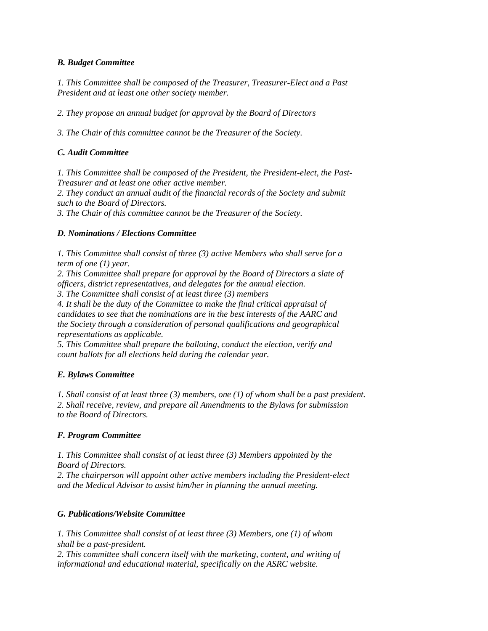## *B. Budget Committee*

*1. This Committee shall be composed of the Treasurer, Treasurer-Elect and a Past President and at least one other society member.*

*2. They propose an annual budget for approval by the Board of Directors*

*3. The Chair of this committee cannot be the Treasurer of the Society.*

## *C. Audit Committee*

*1. This Committee shall be composed of the President, the President-elect, the Past-Treasurer and at least one other active member.*

*2. They conduct an annual audit of the financial records of the Society and submit such to the Board of Directors.*

*3. The Chair of this committee cannot be the Treasurer of the Society.*

### *D. Nominations / Elections Committee*

*1. This Committee shall consist of three (3) active Members who shall serve for a term of one (1) year.*

*2. This Committee shall prepare for approval by the Board of Directors a slate of officers, district representatives, and delegates for the annual election.*

*3. The Committee shall consist of at least three (3) members*

*4. It shall be the duty of the Committee to make the final critical appraisal of candidates to see that the nominations are in the best interests of the AARC and the Society through a consideration of personal qualifications and geographical representations as applicable.*

*5. This Committee shall prepare the balloting, conduct the election, verify and count ballots for all elections held during the calendar year.*

# *E. Bylaws Committee*

*1. Shall consist of at least three (3) members, one (1) of whom shall be a past president. 2. Shall receive, review, and prepare all Amendments to the Bylaws for submission to the Board of Directors.*

### *F. Program Committee*

*1. This Committee shall consist of at least three (3) Members appointed by the Board of Directors.*

*2. The chairperson will appoint other active members including the President-elect and the Medical Advisor to assist him/her in planning the annual meeting.*

### *G. Publications/Website Committee*

*1. This Committee shall consist of at least three (3) Members, one (1) of whom shall be a past-president.*

*2. This committee shall concern itself with the marketing, content, and writing of informational and educational material, specifically on the ASRC website.*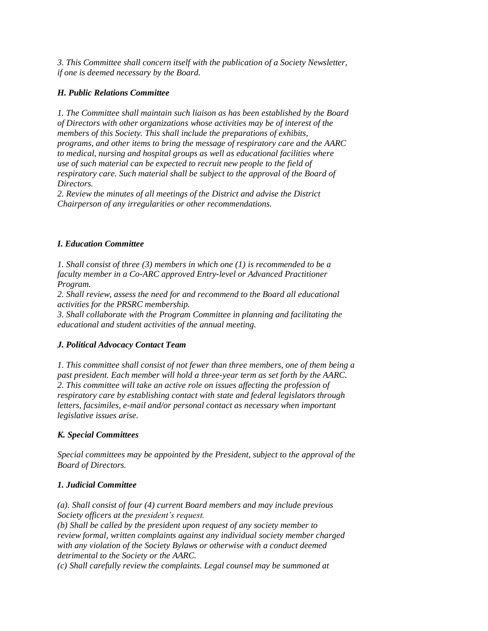*3. This Committee shall concern itself with the publication of a Society Newsletter, if one is deemed necessary by the Board.*

## *H. Public Relations Committee*

*1. The Committee shall maintain such liaison as has been established by the Board of Directors with other organizations whose activities may be of interest of the members of this Society. This shall include the preparations of exhibits, programs, and other items to bring the message of respiratory care and the AARC to medical, nursing and hospital groups as well as educational facilities where use of such material can be expected to recruit new people to the field of respiratory care. Such material shall be subject to the approval of the Board of Directors.*

*2. Review the minutes of all meetings of the District and advise the District Chairperson of any irregularities or other recommendations.*

## *I. Education Committee*

*1. Shall consist of three (3) members in which one (1) is recommended to be a faculty member in a Co-ARC approved Entry-level or Advanced Practitioner Program.*

*2. Shall review, assess the need for and recommend to the Board all educational activities for the PRSRC membership.*

*3. Shall collaborate with the Program Committee in planning and facilitating the educational and student activities of the annual meeting.*

### *J. Political Advocacy Contact Team*

*1. This committee shall consist of not fewer than three members, one of them being a past president. Each member will hold a three-year term as set forth by the AARC. 2. This committee will take an active role on issues affecting the profession of respiratory care by establishing contact with state and federal legislators through letters, facsimiles, e-mail and/or personal contact as necessary when important legislative issues arise.*

# *K. Special Committees*

*Special committees may be appointed by the President, subject to the approval of the Board of Directors.*

# *1. Judicial Committee*

*(a). Shall consist of four (4) current Board members and may include previous Society officers at the president's request. (b) Shall be called by the president upon request of any society member to review formal, written complaints against any individual society member charged with any violation of the Society Bylaws or otherwise with a conduct deemed detrimental to the Society or the AARC.*

*(c) Shall carefully review the complaints. Legal counsel may be summoned at*